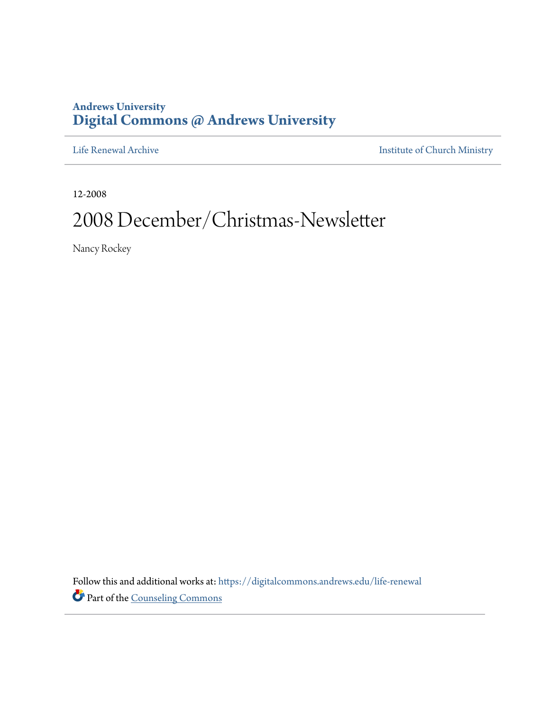## **Andrews University [Digital Commons @ Andrews University](https://digitalcommons.andrews.edu/?utm_source=digitalcommons.andrews.edu%2Flife-renewal%2F1&utm_medium=PDF&utm_campaign=PDFCoverPages)**

[Life Renewal Archive](https://digitalcommons.andrews.edu/life-renewal?utm_source=digitalcommons.andrews.edu%2Flife-renewal%2F1&utm_medium=PDF&utm_campaign=PDFCoverPages) **[Institute of Church Ministry](https://digitalcommons.andrews.edu/icm?utm_source=digitalcommons.andrews.edu%2Flife-renewal%2F1&utm_medium=PDF&utm_campaign=PDFCoverPages)** 

12-2008

## 2008 December/Christmas-Newsletter

Nancy Rockey

Follow this and additional works at: [https://digitalcommons.andrews.edu/life-renewal](https://digitalcommons.andrews.edu/life-renewal?utm_source=digitalcommons.andrews.edu%2Flife-renewal%2F1&utm_medium=PDF&utm_campaign=PDFCoverPages) Part of the [Counseling Commons](http://network.bepress.com/hgg/discipline/1268?utm_source=digitalcommons.andrews.edu%2Flife-renewal%2F1&utm_medium=PDF&utm_campaign=PDFCoverPages)